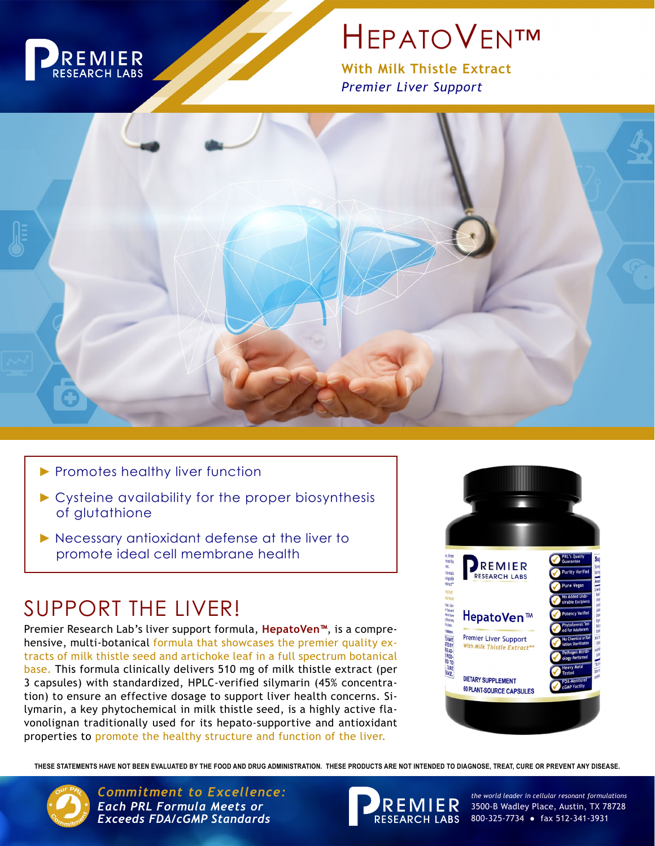

# **HEPATOVEN™**

**With Milk Thistle Extract** *Premier Liver Support*



- ▶ Promotes healthy liver function
- ► Cysteine availability for the proper biosynthesis of glutathione
- ► Necessary antioxidant defense at the liver to promote ideal cell membrane health

## SUPPORT THE LIVER!

Premier Research Lab's liver support formula, **HepatoVen™**, is a comprehensive, multi-botanical formula that showcases the premier quality extracts of milk thistle seed and artichoke leaf in a full spectrum botanical base. This formula clinically delivers 510 mg of milk thistle extract (per 3 capsules) with standardized, HPLC-verified silymarin (45% concentration) to ensure an effective dosage to support liver health concerns. Silymarin, a key phytochemical in milk thistle seed, is a highly active flavonolignan traditionally used for its hepato-supportive and antioxidant properties to promote the healthy structure and function of the liver.



**THESE STATEMENTS HAVE NOT BEEN EVALUATED BY THE FOOD AND DRUG ADMINISTRATION. THESE PRODUCTS ARE NOT INTENDED TO DIAGNOSE, TREAT, CURE OR PREVENT ANY DISEASE.**



*Commitment to Excellence: the world leader in cellular resonant formulations Each PRL Formula Meets or Exceeds FDA/cGMP Standards*



3500-B Wadley Place, Austin, TX 78728 800-325-7734 ● fax 512-341-3931